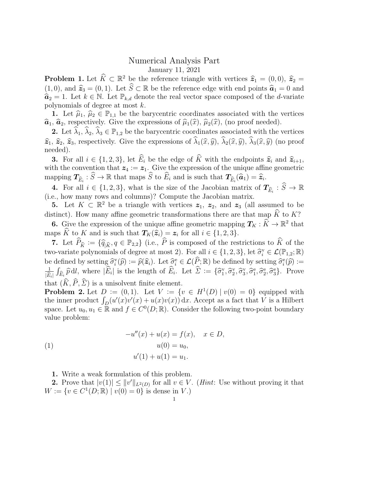## Numerical Analysis Part January 11, 2021

**Problem 1.** Let  $\widehat{K} \subset \mathbb{R}^2$  be the reference triangle with vertices  $\widehat{z}_1 = (0, 0), \widehat{z}_2 = (1, 0)$  and  $\widehat{z}_1 = (0, 1)$ . Let  $\widehat{S} \subset \mathbb{R}$  be the reference advantable value into  $\widehat{z}_1 = 0$  and (1,0), and  $\hat{\mathbf{z}}_3 = (0, 1)$ . Let  $\hat{S} \subset \mathbb{R}$  be the reference edge with end points  $\hat{\mathbf{a}}_1 = 0$  and  $\hat{\mathbf{z}}_2 = 1$ . Let  $k \in \mathbb{N}$ . Let  $\mathbb{R}$ , denote the real vector space composed of the d variate  $\hat{a}_2 = 1$ . Let  $k \in \mathbb{N}$ . Let  $\mathbb{P}_{k,d}$  denote the real vector space composed of the *d*-variate polynomials of degree at most  $k$ .

1. Let  $\hat{\mu}_1, \hat{\mu}_2 \in \mathbb{P}_{1,1}$  be the barycentric coordinates associated with the vertices  $\hat{a}_1, \hat{a}_2$ , respectively. Give the expressions of  $\hat{\mu}_1(\hat{x}), \hat{\mu}_2(\hat{x})$ , (no proof needed).

2. Let  $\hat{\lambda}_1, \hat{\lambda}_2, \hat{\lambda}_3 \in \mathbb{P}_{1,2}$  be the barycentric coordinates associated with the vertices  $\hat{\mathbf{z}}_1, \hat{\mathbf{z}}_2, \hat{\mathbf{z}}_3$ , respectively. Give the expressions of  $\hat{\lambda}_1(\hat{x}, \hat{y}), \hat{\lambda}_2(\hat{x}, \hat{y}), \hat{\lambda}_3(\hat{x}, \hat{y})$  (no proof needed).

**3.** For all  $i \in \{1,2,3\}$ , let  $\widehat{E}_i$  be the edge of  $\widehat{K}$  with the endpoints  $\widehat{z}_i$  and  $\widehat{z}_{i+1}$ , with the convention that  $z_4 := z_1$ . Give the expression of the unique affine geometric mapping  $T_{\widehat{E}_i} : \widehat{S} \to \mathbb{R}$  that maps  $\widehat{S}$  to  $\widehat{E}_i$  and is such that  $T_{\widehat{E}_i}(\widehat{a}_1) = \widehat{z}_i$ .

4. For all  $i \in \{1,2,3\}$ , what is the size of the Jacobian matrix of  $T_{\widehat{E}_i} : \widehat{S} \to \mathbb{R}$ (i.e., how many rows and columns)? Compute the Jacobian matrix.

**5.** Let  $K \subset \mathbb{R}^2$  be a triangle with vertices  $z_1$ ,  $z_2$ , and  $z_3$  (all assumed to be distinct). How many affine geometric transformations there are that map  $\widehat{K}$  to K?

**6.** Give the expression of the unique affine geometric mapping  $T_K : \hat{K} \to \mathbb{R}^2$  that maps K to K and is such that  $T_K(\hat{z}_i) = z_i$  for all  $i \in \{1, 2, 3\}$ .

7. Let  $\widehat{P}_{\widehat{K}} := \{\widehat{q}_{|\widehat{K}}, q \in \mathbb{P}_{2,2}\}\$  (i.e.,  $\widehat{P}$  is composed of the restrictions to  $\widehat{K}$  of the two-variate polynomials of degree at most 2). For all  $i \in \{1, 2, 3\}$ , let  $\widehat{\sigma}_i^{\vee} \in \mathcal{L}(\mathbb{P}_{1,2}; \mathbb{R})$ be defined by setting  $\widehat{\sigma}_i^{\text{v}}(\widehat{p}) := \widehat{p}(\widehat{\mathbf{z}}_i)$ . Let  $\widehat{\sigma}_i^{\text{e}} \in \mathcal{L}(\widehat{P}; \mathbb{R})$  be defined by setting  $\widehat{\sigma}_i^{\text{e}}(\widehat{p}) :=$ <br> $\frac{1}{\sigma^2} \int_{\widehat{P}} \widehat{\sigma}_i^{\text{e}} dP$ , where  $|\widehat{F}_i|$  is the length of  $|E_i|$  $\int_{\widehat{E}_i} \widehat{p} \, \mathrm{d}l$ , where  $|\widehat{E}_i|$  is the length of  $\widehat{E}_i$ . Let  $\widehat{\Sigma} := \{ \widehat{\sigma}_1^{\mathrm{v}}, \widehat{\sigma}_2^{\mathrm{v}}, \widehat{\sigma}_3^{\mathrm{v}}, \widehat{\sigma}_1^{\mathrm{e}}, \widehat{\sigma}_2^{\mathrm{e}}, \widehat{\sigma}_3^{\mathrm{e}} \}$ . Prove that  $(\widehat{K}, \widehat{P}, \widehat{\Sigma})$  is a unisolvent finite element.

**Problem 2.** Let  $D := (0,1)$ . Let  $V := \{v \in H^1(D) | v(0) = 0\}$  equipped with the inner product  $\int_D (u'(x)v'(x) + u(x)v(x)) dx$ . Accept as a fact that V is a Hilbert space. Let  $u_0, u_1 \in \mathbb{R}$  and  $f \in C^0(D; \mathbb{R})$ . Consider the following two-point boundary value problem:

(1) 
$$
-u''(x) + u(x) = f(x), \quad x \in D,
$$

$$
u(0) = u_0,
$$

$$
u'(1) + u(1) = u_1.
$$

1. Write a weak formulation of this problem.

**2.** Prove that  $|v(1)| \leq ||v'||_{L^2(D)}$  for all  $v \in V$ . (*Hint*: Use without proving it that  $W := \{v \in C^1(D; \mathbb{R}) \mid v(0) = 0\}$  is dense in V.)